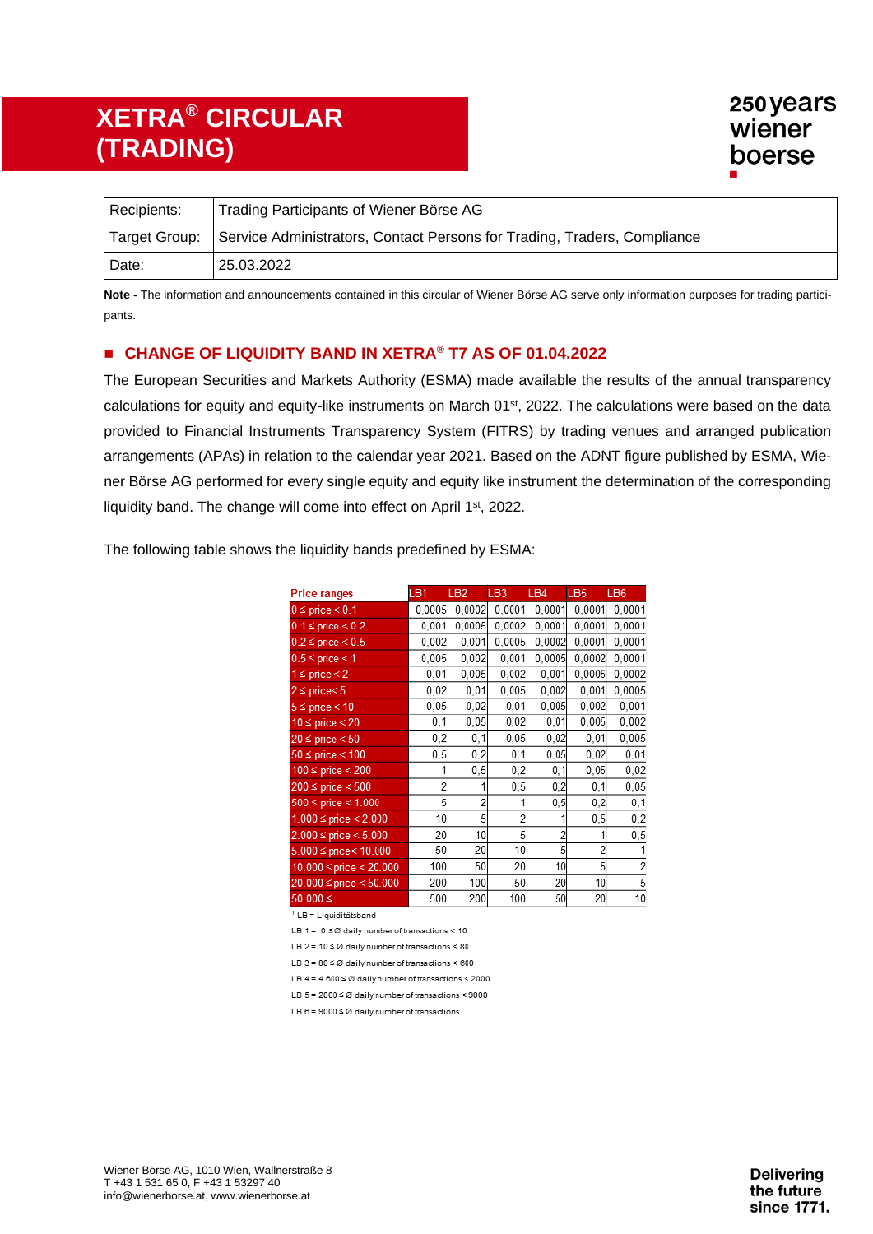| Recipients: | Trading Participants of Wiener Börse AG                                                |
|-------------|----------------------------------------------------------------------------------------|
|             | Target Group: Service Administrators, Contact Persons for Trading, Traders, Compliance |
| Date:       | 25.03.2022                                                                             |

**Note -** The information and announcements contained in this circular of Wiener Börse AG serve only information purposes for trading participants.

#### ◼ **CHANGE OF LIQUIDITY BAND IN XETRA® T7 AS OF 01.04.2022**

The European Securities and Markets Authority (ESMA) made available the results of the annual transparency calculations for equity and equity-like instruments on March 01<sup>st</sup>, 2022. The calculations were based on the data provided to Financial Instruments Transparency System (FITRS) by trading venues and arranged publication arrangements (APAs) in relation to the calendar year 2021. Based on the ADNT figure published by ESMA, Wiener Börse AG performed for every single equity and equity like instrument the determination of the corresponding liquidity band. The change will come into effect on April 1<sup>st</sup>, 2022.

| <b>Price ranges</b>           | LB1    | LB <sub>2</sub> | LB3    | LB4    | LB <sub>5</sub> | LB <sub>6</sub> |
|-------------------------------|--------|-----------------|--------|--------|-----------------|-----------------|
| $0 \le$ price $< 0.1$         | 0.0005 | 0.0002          | 0.0001 | 0.0001 | 0.0001          | 0.0001          |
| $0.1 \le$ price $\le 0.2$     | 0.001  | 0,0005          | 0,0002 | 0,0001 | 0,0001          | 0,0001          |
| $0.2 \le$ price $< 0.5$       | 0.002  | 0,001           | 0.0005 | 0.0002 | 0.0001          | 0.0001          |
| $0.5 \le$ price < 1           | 0.005  | 0,002           | 0,001  | 0.0005 | 0.0002          | 0,0001          |
| $1 \le$ price $\le$ 2         | 0,01   | 0,005           | 0,002  | 0,001  | 0,0005          | 0,0002          |
| $2 \leq$ price $\leq 5$       | 0,02   | 0,01            | 0,005  | 0.002  | 0.001           | 0.0005          |
| $5 \le$ price $< 10$          | 0,05   | 0,02            | 0,01   | 0.005  | 0,002           | 0,001           |
| $10 \le$ price $\le$ 20       | 0, 1   | 0,05            | 0,02   | 0,01   | 0,005           | 0,002           |
| $20 \le$ price $< 50$         | 0,2    | 0, 1            | 0,05   | 0,02   | 0,01            | 0,005           |
| $50 \le$ price $< 100$        | 0, 5   | 0,2             | 0, 1   | 0.05   | 0.02            | 0,01            |
| $100 \le$ price $< 200$       |        | 0, 5            | 0,2    | 0, 1   | 0,05            | 0,02            |
| $200 \le$ price $< 500$       | 2      | 1               | 0,5    | 0,2    | 0, 1            | 0,05            |
| $500 \le$ price $< 1.000$     | 5      | 2               |        | 0,5    | 0,2             | 0, 1            |
| $1.000 \le$ price $< 2.000$   | 10     | 5               | 2      |        | 0,5             | 0,2             |
| $2.000$ ≤ price < 5.000       | 20     | 10              | 5      | 2      |                 | 0,5             |
| $5.000 \le$ price < 10.000    | 50     | 20              | 10     | 5      |                 |                 |
| $10.000 \le$ price $< 20.000$ | 100    | 50              | 20     | 10     | 5               |                 |
| 20.000 ≤ price < 50.000       | 200    | 100             | 50     | 20     | 10              | 5               |
| $50.000 \le$                  | 500    | 200             | 100    | 50     | 20              | 10              |

The following table shows the liquidity bands predefined by ESMA:

<sup>1</sup> LB = Liquiditätsband

LB 1 =  $0 \leq \emptyset$  daily number of transactions < 10

LB 2 =  $10 \leq \emptyset$  daily number of transactions < 80

LB 3 =  $80 \leq \emptyset$  daily number of transactions < 600

LB 4 = 4  $600 \leq \emptyset$  daily number of transactions < 2000

LB 5 = 2000  $\leq$  Ø daily number of transactions < 9000

LB  $6 = 9000 \leq \emptyset$  daily number of transactions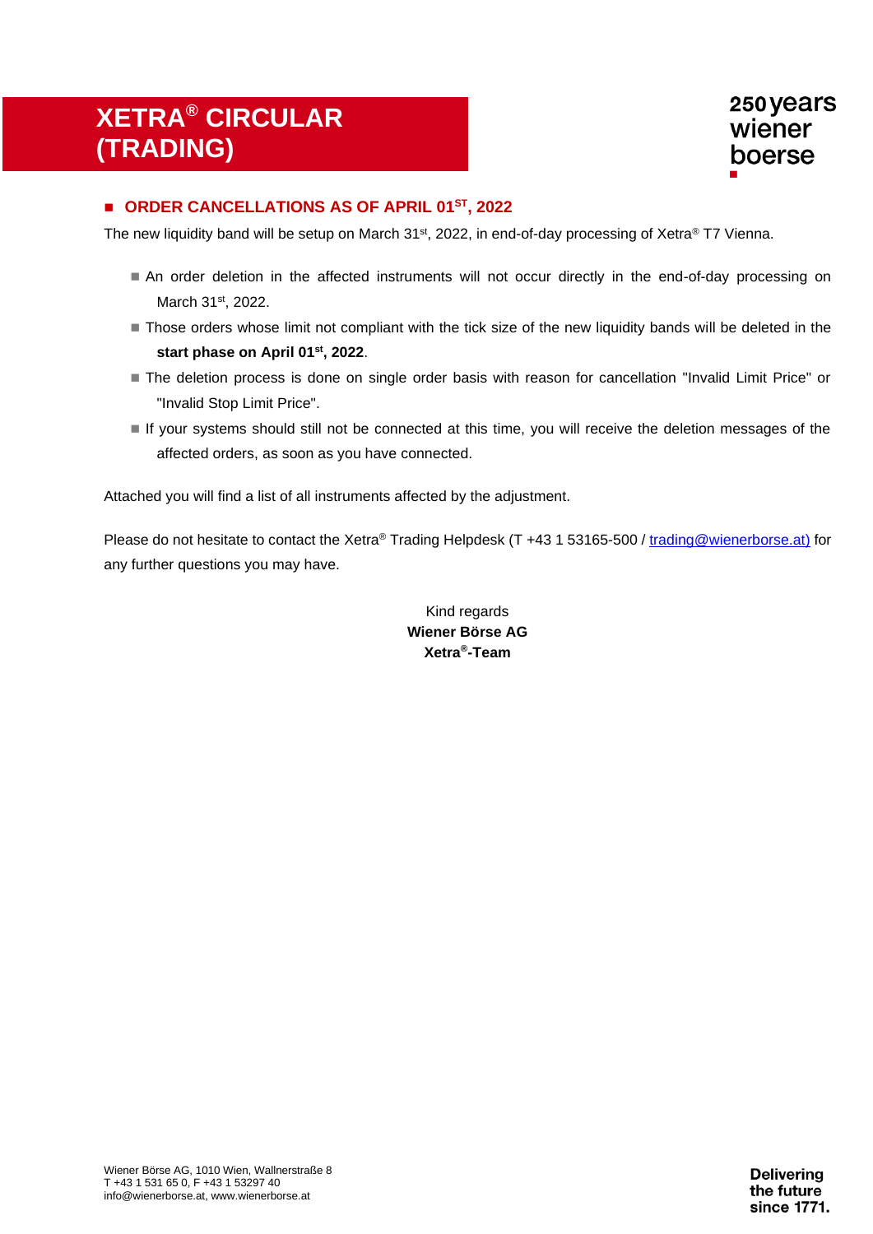#### ◼ **ORDER CANCELLATIONS AS OF APRIL 01 ST, 2022**

The new liquidity band will be setup on March 31st, 2022, in end-of-day processing of Xetra® T7 Vienna.

- An order deletion in the affected instruments will not occur directly in the end-of-day processing on March 31st, 2022.
- Those orders whose limit not compliant with the tick size of the new liquidity bands will be deleted in the **start phase on April 01 st, 2022**.
- The deletion process is done on single order basis with reason for cancellation "Invalid Limit Price" or "Invalid Stop Limit Price".
- If your systems should still not be connected at this time, you will receive the deletion messages of the affected orders, as soon as you have connected.

Attached you will find a list of all instruments affected by the adjustment.

Please do not hesitate to contact the Xetra® Trading Helpdesk (T +43 1 53165-500 / [trading@wienerborse.at\)](mailto:trading@wienerborse.at) for any further questions you may have.

| Kind regards    |
|-----------------|
| Wiener Börse AG |
| Xetra®-Team     |

Wiener Börse AG, 1010 Wien, Wallnerstraße 8 T +43 1 531 65 0, F +43 1 53297 40 info@wienerborse.at, www.wienerborse.at

**Delivering** the future since 1771.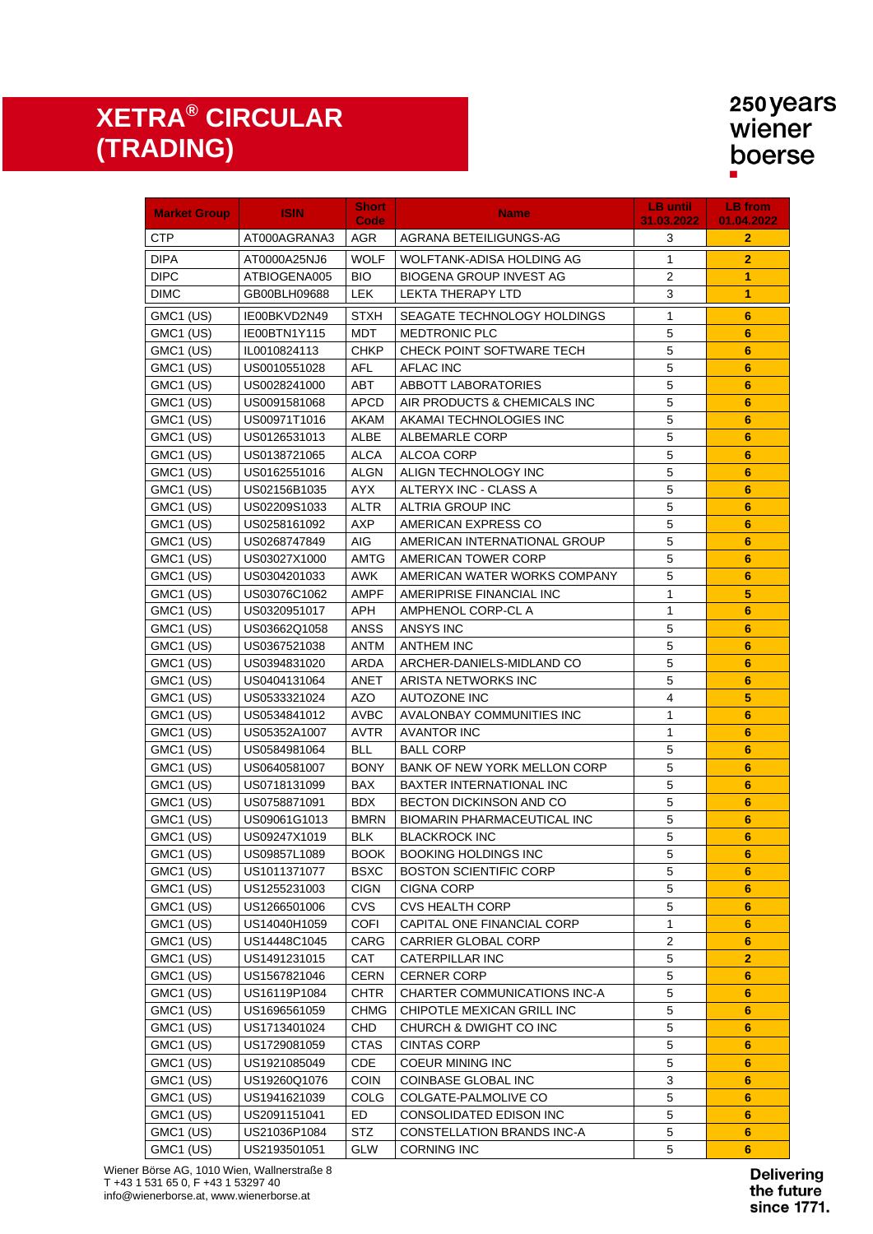| <b>Market Group</b> | <b>ISIN</b>  | <b>Short</b><br>Code | <b>Name</b>                        | <b>LB until</b><br>31.03.2022 | <b>LB</b> from<br>01.04.2022 |
|---------------------|--------------|----------------------|------------------------------------|-------------------------------|------------------------------|
| CTP                 | AT000AGRANA3 | AGR                  | AGRANA BETEILIGUNGS-AG             | 3                             | $\mathbf{2}$                 |
| <b>DIPA</b>         | AT0000A25NJ6 | <b>WOLF</b>          | WOLFTANK-ADISA HOLDING AG          | 1                             | $\overline{2}$               |
| <b>DIPC</b>         | ATBIOGENA005 | <b>BIO</b>           | <b>BIOGENA GROUP INVEST AG</b>     | 2                             | 1                            |
| <b>DIMC</b>         | GB00BLH09688 | <b>LEK</b>           | <b>LEKTA THERAPY LTD</b>           | $\mathsf 3$                   | 1                            |
| GMC1 (US)           | IE00BKVD2N49 | <b>STXH</b>          | SEAGATE TECHNOLOGY HOLDINGS        | 1                             | 6                            |
| GMC1 (US)           | IE00BTN1Y115 | MDT                  | <b>MEDTRONIC PLC</b>               | 5                             | 6                            |
| GMC1 (US)           | IL0010824113 | <b>CHKP</b>          | CHECK POINT SOFTWARE TECH          | 5                             | 6                            |
| GMC1 (US)           | US0010551028 | <b>AFL</b>           | <b>AFLAC INC</b>                   | 5                             | 6                            |
| GMC1 (US)           | US0028241000 | <b>ABT</b>           | ABBOTT LABORATORIES                | $\mathbf 5$                   | $6\phantom{1}6$              |
| GMC1 (US)           | US0091581068 | <b>APCD</b>          | AIR PRODUCTS & CHEMICALS INC       | $\overline{5}$                | $6\phantom{1}$               |
| GMC1 (US)           | US00971T1016 | AKAM                 | AKAMAI TECHNOLOGIES INC            | $\overline{5}$                | $6\phantom{1}$               |
| GMC1 (US)           | US0126531013 | ALBE                 | ALBEMARLE CORP                     | $\mathbf 5$                   | $6\phantom{1}$               |
| GMC1 (US)           | US0138721065 | ALCA                 | ALCOA CORP                         | $\overline{5}$                | $6\phantom{1}$               |
| GMC1 (US)           | US0162551016 | ALGN                 | ALIGN TECHNOLOGY INC               | $\overline{5}$                | 6                            |
| GMC1 (US)           | US02156B1035 | AYX.                 | ALTERYX INC - CLASS A              | 5                             | 6                            |
| GMC1 (US)           | US02209S1033 | ALTR                 | <b>ALTRIA GROUP INC</b>            | $\mathbf 5$                   | $6\phantom{1}6$              |
| GMC1 (US)           | US0258161092 | AXP                  | AMERICAN EXPRESS CO                | $\mathbf 5$                   | $6\phantom{1}6$              |
| GMC1 (US)           | US0268747849 | AIG.                 | AMERICAN INTERNATIONAL GROUP       | $\overline{5}$                | $6\phantom{1}6$              |
| GMC1 (US)           | US03027X1000 | AMTG                 | AMERICAN TOWER CORP                | $\mathbf 5$                   | $6\phantom{1}$               |
| GMC1 (US)           | US0304201033 | <b>AWK</b>           | AMERICAN WATER WORKS COMPANY       | 5                             | $6\phantom{1}$               |
| GMC1 (US)           | US03076C1062 | AMPF                 | AMERIPRISE FINANCIAL INC           | 1                             | 5                            |
| GMC1 (US)           | US0320951017 | APH                  | AMPHENOL CORP-CL A                 | 1                             | $6\phantom{1}$               |
| GMC1 (US)           | US03662Q1058 | ANSS                 | ANSYS INC                          | $\mathbf 5$                   | $6\phantom{1}$               |
| GMC1 (US)           | US0367521038 | ANTM                 | <b>ANTHEM INC</b>                  | $\overline{5}$                | $6\phantom{1}$               |
| GMC1 (US)           | US0394831020 | <b>ARDA</b>          | ARCHER-DANIELS-MIDLAND CO          | $\mathbf 5$                   | $6\phantom{1}$               |
| GMC1 (US)           | US0404131064 | ANET                 | ARISTA NETWORKS INC                | 5                             | $6\phantom{1}$               |
| GMC1 (US)           | US0533321024 | <b>AZO</b>           | AUTOZONE INC                       | $\overline{4}$                | 5                            |
| GMC1 (US)           | US0534841012 | <b>AVBC</b>          | AVALONBAY COMMUNITIES INC          | 1                             | $6\phantom{1}$               |
| GMC1 (US)           | US05352A1007 | <b>AVTR</b>          | <b>AVANTOR INC</b>                 | 1                             | $6\phantom{1}$               |
| GMC1 (US)           | US0584981064 | <b>BLL</b>           | <b>BALL CORP</b>                   | 5                             | $6\phantom{1}$               |
| GMC1 (US)           | US0640581007 | <b>BONY</b>          | BANK OF NEW YORK MELLON CORP       | 5                             | $6\phantom{1}$               |
| GMC1 (US)           | US0718131099 | <b>BAX</b>           | <b>BAXTER INTERNATIONAL INC</b>    | $\mathbf 5$                   | $6\phantom{1}$               |
| GMC1 (US)           | US0758871091 | <b>BDX</b>           | BECTON DICKINSON AND CO            | $\overline{5}$                | $6\phantom{1}$               |
| GMC1 (US)           | US09061G1013 | <b>BMRN</b>          | BIOMARIN PHARMACEUTICAL INC        | 5                             | 6                            |
| GMC1 (US)           | US09247X1019 | <b>BLK</b>           | <b>BLACKROCK INC</b>               | 5                             | $6\phantom{1}6$              |
| GMC1 (US)           | US09857L1089 |                      | <b>BOOK   BOOKING HOLDINGS INC</b> | $\,$ 5 $\,$                   | $6\phantom{1}6$              |
| GMC1 (US)           | US1011371077 | <b>BSXC</b>          | <b>BOSTON SCIENTIFIC CORP</b>      | 5                             | 6                            |
| GMC1 (US)           | US1255231003 | <b>CIGN</b>          | <b>CIGNA CORP</b>                  | 5                             | 6                            |
| GMC1 (US)           | US1266501006 | CVS                  | <b>CVS HEALTH CORP</b>             | 5                             | 6                            |
| GMC1 (US)           | US14040H1059 | <b>COFI</b>          | CAPITAL ONE FINANCIAL CORP         | 1                             | 6                            |
| GMC1 (US)           | US14448C1045 | CARG                 | CARRIER GLOBAL CORP                | 2                             | 6                            |
| GMC1 (US)           | US1491231015 | CAT                  | <b>CATERPILLAR INC</b>             | 5                             | $\overline{2}$               |
| GMC1 (US)           | US1567821046 | <b>CERN</b>          | <b>CERNER CORP</b>                 | 5                             | 6                            |
| GMC1 (US)           | US16119P1084 | <b>CHTR</b>          | CHARTER COMMUNICATIONS INC-A       | 5                             | 6                            |
| GMC1 (US)           | US1696561059 | <b>CHMG</b>          | CHIPOTLE MEXICAN GRILL INC         | 5                             | 6                            |
| GMC1 (US)           | US1713401024 | <b>CHD</b>           | CHURCH & DWIGHT CO INC             | 5                             | 6                            |
| GMC1 (US)           | US1729081059 | <b>CTAS</b>          | <b>CINTAS CORP</b>                 | 5                             | 6                            |
| GMC1 (US)           | US1921085049 | CDE                  | COEUR MINING INC                   | 5                             | 6                            |
| GMC1 (US)           | US19260Q1076 | COIN                 | COINBASE GLOBAL INC                | 3                             | 6                            |
| GMC1 (US)           | US1941621039 | COLG                 | COLGATE-PALMOLIVE CO               | 5                             | $6\phantom{1}$               |
| GMC1 (US)           | US2091151041 | ED                   | CONSOLIDATED EDISON INC            | 5                             | $6\phantom{1}$               |
| GMC1 (US)           | US21036P1084 | <b>STZ</b>           | CONSTELLATION BRANDS INC-A         | $\mathbf 5$                   | 6                            |
| GMC1 (US)           | US2193501051 | GLW                  | <b>CORNING INC</b>                 | 5                             | $6\phantom{1}$               |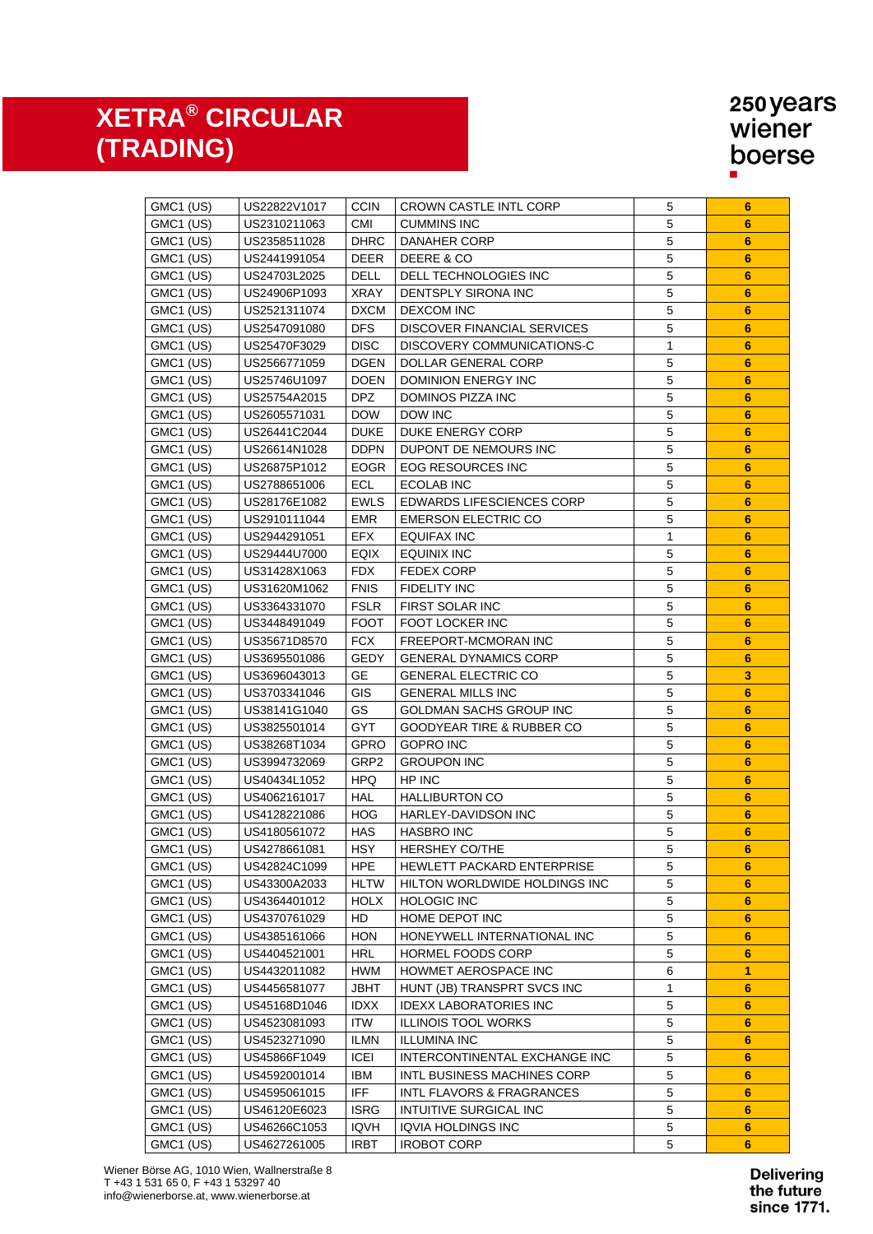| GMC1 (US) | US22822V1017 | <b>CCIN</b> | CROWN CASTLE INTL CORP           | 5              | 6                       |
|-----------|--------------|-------------|----------------------------------|----------------|-------------------------|
| GMC1 (US) | US2310211063 | <b>CMI</b>  | <b>CUMMINS INC</b>               | 5              | 6                       |
| GMC1 (US) | US2358511028 | <b>DHRC</b> | DANAHER CORP                     | 5              | $6\phantom{1}$          |
| GMC1 (US) | US2441991054 | DEER        | DEERE & CO                       | $\sqrt{5}$     | $6\phantom{1}$          |
| GMC1 (US) | US24703L2025 | DELL        | DELL TECHNOLOGIES INC            | 5              | $6\phantom{1}$          |
| GMC1 (US) | US24906P1093 | XRAY        | DENTSPLY SIRONA INC              | 5              | $6\phantom{1}$          |
| GMC1 (US) | US2521311074 | <b>DXCM</b> | <b>DEXCOM INC</b>                | 5              | 6                       |
| GMC1 (US) | US2547091080 | <b>DFS</b>  | DISCOVER FINANCIAL SERVICES      | 5              | 6                       |
| GMC1 (US) | US25470F3029 | <b>DISC</b> | DISCOVERY COMMUNICATIONS-C       | 1              | 6                       |
| GMC1 (US) | US2566771059 | DGEN        | DOLLAR GENERAL CORP              | 5              | $6\phantom{1}6$         |
| GMC1 (US) | US25746U1097 | <b>DOEN</b> | DOMINION ENERGY INC              | $\mathbf 5$    | 6                       |
| GMC1 (US) | US25754A2015 | <b>DPZ</b>  | DOMINOS PIZZA INC                | $\mathbf 5$    | $6\phantom{1}6$         |
| GMC1 (US) | US2605571031 | <b>DOW</b>  | DOW INC                          | $\sqrt{5}$     | $6\phantom{1}6$         |
| GMC1 (US) | US26441C2044 | <b>DUKE</b> | DUKE ENERGY CORP                 | $\mathbf 5$    | $6\phantom{1}$          |
| GMC1 (US) | US26614N1028 | <b>DDPN</b> | DUPONT DE NEMOURS INC            | $\sqrt{5}$     | $6\phantom{1}$          |
| GMC1 (US) | US26875P1012 | <b>EOGR</b> | EOG RESOURCES INC                | 5              | $6\phantom{1}$          |
| GMC1 (US) | US2788651006 | ECL         | ECOLAB INC                       | $\overline{5}$ | $6\phantom{1}$          |
| GMC1 (US) | US28176E1082 | <b>EWLS</b> | <b>EDWARDS LIFESCIENCES CORP</b> | 5              | $6\phantom{1}$          |
| GMC1 (US) | US2910111044 | <b>EMR</b>  | <b>EMERSON ELECTRIC CO</b>       | 5              | $6\phantom{1}$          |
| GMC1 (US) | US2944291051 | <b>EFX</b>  | <b>EQUIFAX INC</b>               | 1              | $6\phantom{1}$          |
| GMC1 (US) | US29444U7000 | EQIX        | <b>EQUINIX INC</b>               | $\mathbf 5$    | 6                       |
| GMC1 (US) | US31428X1063 | <b>FDX</b>  | FEDEX CORP                       | $\mathbf 5$    | $6\phantom{1}$          |
| GMC1 (US) | US31620M1062 | <b>FNIS</b> | FIDELITY INC                     | $\overline{5}$ | $6\phantom{1}$          |
| GMC1 (US) | US3364331070 | <b>FSLR</b> | FIRST SOLAR INC                  | 5              | $6\phantom{1}$          |
| GMC1 (US) | US3448491049 | <b>FOOT</b> | FOOT LOCKER INC                  | $\sqrt{5}$     | $6\phantom{1}$          |
| GMC1 (US) | US35671D8570 | <b>FCX</b>  | FREEPORT-MCMORAN INC             | 5              | $6\phantom{1}$          |
| GMC1 (US) | US3695501086 | GEDY        | <b>GENERAL DYNAMICS CORP</b>     | 5              | $6\phantom{1}$          |
| GMC1 (US) | US3696043013 | <b>GE</b>   | <b>GENERAL ELECTRIC CO</b>       | 5              | $\overline{\mathbf{3}}$ |
| GMC1 (US) | US3703341046 | <b>GIS</b>  | <b>GENERAL MILLS INC</b>         | 5              | $6\phantom{1}$          |
| GMC1 (US) | US38141G1040 | GS          | GOLDMAN SACHS GROUP INC          | 5              | $6\phantom{1}$          |
| GMC1 (US) | US3825501014 | GYT         | GOODYEAR TIRE & RUBBER CO        | 5              | $6\phantom{1}6$         |
| GMC1 (US) | US38268T1034 | GPRO        | <b>GOPRO INC</b>                 | 5              | 6                       |
| GMC1 (US) | US3994732069 | GRP2        | <b>GROUPON INC</b>               | 5              | $6\phantom{1}6$         |
| GMC1 (US) | US40434L1052 | <b>HPQ</b>  | HP INC                           | 5              | 6                       |
| GMC1 (US) | US4062161017 | HAL         | <b>HALLIBURTON CO</b>            | 5              | 6                       |
| GMC1 (US) | US4128221086 | <b>HOG</b>  | HARLEY-DAVIDSON INC              | 5              | 6                       |
| GMC1 (US) | US4180561072 | <b>HAS</b>  | <b>HASBRO INC</b>                | 5              | 6                       |
| GMC1 (US) | US4278661081 | <b>HSY</b>  | HERSHEY CO/THE                   | 5              | 6                       |
| GMC1 (US) | US42824C1099 | <b>HPE</b>  | HEWLETT PACKARD ENTERPRISE       | 5              | 6                       |
| GMC1 (US) | US43300A2033 | <b>HLTW</b> | HILTON WORLDWIDE HOLDINGS INC    | 5              | 6                       |
| GMC1 (US) | US4364401012 | <b>HOLX</b> | <b>HOLOGIC INC</b>               | 5              | 6                       |
| GMC1 (US) | US4370761029 | HD          | HOME DEPOT INC                   | 5              | 6                       |
| GMC1 (US) | US4385161066 | <b>HON</b>  | HONEYWELL INTERNATIONAL INC      | 5              | 6                       |
| GMC1 (US) | US4404521001 | <b>HRL</b>  | HORMEL FOODS CORP                | 5              | 6                       |
| GMC1 (US) | US4432011082 | <b>HWM</b>  | HOWMET AEROSPACE INC             | 6              | 1                       |
| GMC1 (US) | US4456581077 | <b>JBHT</b> | HUNT (JB) TRANSPRT SVCS INC      | 1              | 6                       |
| GMC1 (US) | US45168D1046 | <b>IDXX</b> | <b>IDEXX LABORATORIES INC</b>    | 5              | 6                       |
| GMC1 (US) | US4523081093 | <b>ITW</b>  | <b>ILLINOIS TOOL WORKS</b>       | $\mathbf 5$    | 6                       |
| GMC1 (US) | US4523271090 | <b>ILMN</b> | <b>ILLUMINA INC</b>              | 5              | 6                       |
| GMC1 (US) | US45866F1049 | <b>ICEI</b> | INTERCONTINENTAL EXCHANGE INC    | 5              | 6                       |
| GMC1 (US) | US4592001014 | IBM         | INTL BUSINESS MACHINES CORP      | 5              | 6                       |
| GMC1 (US) | US4595061015 | <b>IFF</b>  | INTL FLAVORS & FRAGRANCES        | 5              | 6                       |
| GMC1 (US) | US46120E6023 | <b>ISRG</b> | INTUITIVE SURGICAL INC           | 5              | 6                       |
| GMC1 (US) | US46266C1053 | <b>IQVH</b> | IQVIA HOLDINGS INC               | $\mathbf 5$    | 6                       |
| GMC1 (US) | US4627261005 | <b>IRBT</b> | <b>IROBOT CORP</b>               | $\mathbf 5$    | 6                       |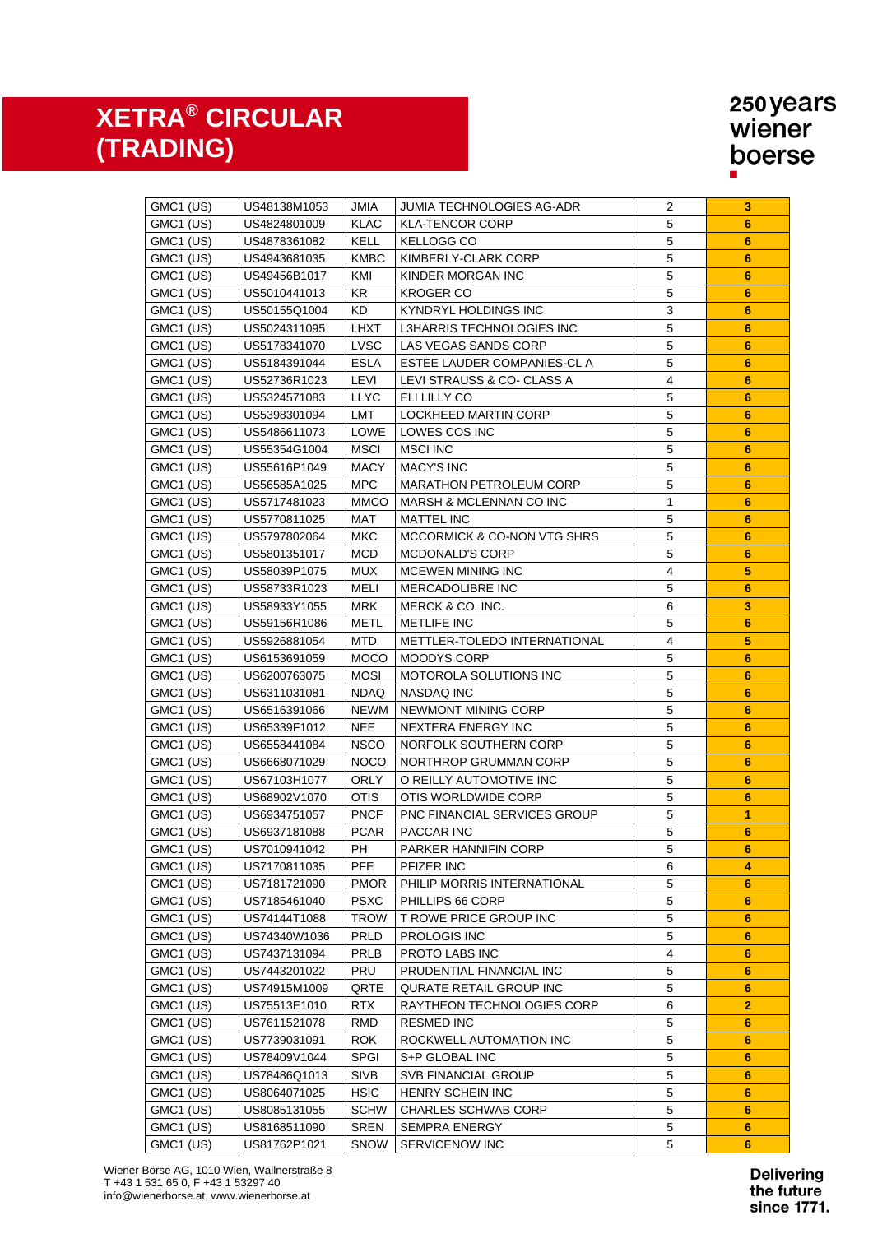| GMC1 (US) | US48138M1053 | JMIA        | JUMIA TECHNOLOGIES AG-ADR      | 2                       | 3               |
|-----------|--------------|-------------|--------------------------------|-------------------------|-----------------|
| GMC1 (US) | US4824801009 | KLAC        | <b>KLA-TENCOR CORP</b>         | 5                       | 6               |
| GMC1 (US) | US4878361082 | KELL        | KELLOGG CO                     | $\mathbf 5$             | $6\phantom{1}$  |
| GMC1 (US) | US4943681035 | <b>KMBC</b> | KIMBERLY-CLARK CORP            | $\mathbf 5$             | $6\phantom{1}$  |
| GMC1 (US) | US49456B1017 | KMI         | KINDER MORGAN INC              | $\mathbf 5$             | $6\phantom{1}6$ |
| GMC1 (US) | US5010441013 | KR          | <b>KROGER CO</b>               | $\mathbf 5$             | $6\phantom{1}$  |
| GMC1 (US) | US50155Q1004 | <b>KD</b>   | KYNDRYL HOLDINGS INC           | $\mathbf{3}$            | $6\phantom{1}$  |
| GMC1 (US) | US5024311095 | LHXT        | L3HARRIS TECHNOLOGIES INC      | $\overline{5}$          | $6\phantom{1}$  |
| GMC1 (US) | US5178341070 | <b>LVSC</b> | LAS VEGAS SANDS CORP           | 5                       | $6\phantom{1}$  |
| GMC1 (US) | US5184391044 | ESLA        | ESTEE LAUDER COMPANIES-CL A    | $\sqrt{5}$              | $6\phantom{1}$  |
| GMC1 (US) | US52736R1023 | LEVI        | LEVI STRAUSS & CO- CLASS A     | $\overline{4}$          | $6\phantom{1}$  |
| GMC1 (US) | US5324571083 | <b>LLYC</b> | ELI LILLY CO                   | 5                       | 6               |
| GMC1 (US) | US5398301094 | LMT         | LOCKHEED MARTIN CORP           | $\overline{5}$          | 6               |
| GMC1 (US) | US5486611073 | LOWE        | LOWES COS INC                  | 5                       | $6\phantom{1}$  |
| GMC1 (US) | US55354G1004 | MSCI        | <b>MSCI INC</b>                | 5                       | 6               |
| GMC1 (US) | US55616P1049 | <b>MACY</b> | <b>MACY'S INC</b>              | 5                       | 6               |
| GMC1 (US) | US56585A1025 | MPC.        | <b>MARATHON PETROLEUM CORP</b> | $\sqrt{5}$              | $6\phantom{1}6$ |
| GMC1 (US) | US5717481023 | <b>MMCO</b> | MARSH & MCLENNAN CO INC        | 1                       | 6               |
| GMC1 (US) | US5770811025 | MAT         | <b>MATTEL INC</b>              | 5                       | 6               |
| GMC1 (US) | US5797802064 | МКС         | MCCORMICK & CO-NON VTG SHRS    | 5                       | 6               |
| GMC1 (US) | US5801351017 | MCD.        | MCDONALD'S CORP                | 5                       | 6               |
| GMC1 (US) | US58039P1075 | MUX.        | MCEWEN MINING INC              | 4                       | 5               |
| GMC1 (US) | US58733R1023 | MELI        | MERCADOLIBRE INC               | 5                       | $6\phantom{1}$  |
| GMC1 (US) | US58933Y1055 | <b>MRK</b>  | MERCK & CO. INC.               | 6                       | 3               |
| GMC1 (US) | US59156R1086 | <b>METL</b> | <b>METLIFE INC</b>             | 5                       | 6               |
| GMC1 (US) | US5926881054 | <b>MTD</b>  | METTLER-TOLEDO INTERNATIONAL   | 4                       | 5               |
| GMC1 (US) | US6153691059 | <b>MOCO</b> | MOODYS CORP                    | $\mathbf 5$             | 6               |
| GMC1 (US) | US6200763075 | <b>MOSI</b> | MOTOROLA SOLUTIONS INC         | 5                       | $6\phantom{1}$  |
| GMC1 (US) | US6311031081 | <b>NDAQ</b> | NASDAQ INC                     | 5                       | 6               |
| GMC1 (US) | US6516391066 | <b>NEWM</b> | NEWMONT MINING CORP            | $\sqrt{5}$              | $6\phantom{1}$  |
| GMC1 (US) | US65339F1012 | <b>NEE</b>  | NEXTERA ENERGY INC             | $\mathbf 5$             | $6\phantom{1}$  |
| GMC1 (US) | US6558441084 | <b>NSCO</b> | NORFOLK SOUTHERN CORP          | $\mathbf 5$             | 6               |
| GMC1 (US) | US6668071029 | <b>NOCO</b> | NORTHROP GRUMMAN CORP          | $\overline{5}$          | 6               |
| GMC1 (US) | US67103H1077 | <b>ORLY</b> | O REILLY AUTOMOTIVE INC        | $\mathbf 5$             | 6               |
| GMC1 (US) | US68902V1070 | <b>OTIS</b> | OTIS WORLDWIDE CORP            | $\mathbf 5$             | 6               |
| GMC1 (US) | US6934751057 | <b>PNCF</b> | PNC FINANCIAL SERVICES GROUP   | 5                       | 1               |
| GMC1 (US) | US6937181088 | <b>PCAR</b> | <b>PACCAR INC</b>              | $\mathbf 5$             | $6\phantom{1}6$ |
| GMC1 (US) | US7010941042 | PH          | PARKER HANNIFIN CORP           | $\mathbf 5$             | $6\phantom{1}$  |
| GMC1 (US) | US7170811035 | <b>PFE</b>  | PFIZER INC                     | 6                       | 4               |
| GMC1 (US) | US7181721090 | <b>PMOR</b> | PHILIP MORRIS INTERNATIONAL    | 5                       | 6               |
| GMC1 (US) | US7185461040 | <b>PSXC</b> | PHILLIPS 66 CORP               | $\mathbf 5$             | 6               |
| GMC1 (US) | US74144T1088 | TROW        | T ROWE PRICE GROUP INC         | 5                       | 6               |
| GMC1 (US) | US74340W1036 | PRLD        | <b>PROLOGIS INC</b>            | $\mathbf 5$             | 6               |
| GMC1 (US) | US7437131094 | PRLB        | PROTO LABS INC                 | $\overline{\mathbf{4}}$ | $6\phantom{1}6$ |
| GMC1 (US) | US7443201022 | PRU         | PRUDENTIAL FINANCIAL INC       | 5                       | $6\phantom{1}6$ |
| GMC1 (US) | US74915M1009 | QRTE        | QURATE RETAIL GROUP INC        | $\mathbf 5$             | 6               |
| GMC1 (US) | US75513E1010 | <b>RTX</b>  | RAYTHEON TECHNOLOGIES CORP     | 6                       | $\overline{2}$  |
| GMC1 (US) | US7611521078 | <b>RMD</b>  | <b>RESMED INC</b>              | $\mathbf 5$             | 6               |
| GMC1 (US) | US7739031091 | <b>ROK</b>  | ROCKWELL AUTOMATION INC        | 5                       | 6               |
| GMC1 (US) | US78409V1044 | <b>SPGI</b> | S+P GLOBAL INC                 | 5                       | 6               |
| GMC1 (US) | US78486Q1013 | <b>SIVB</b> | <b>SVB FINANCIAL GROUP</b>     | 5                       | $6\phantom{1}$  |
| GMC1 (US) | US8064071025 | <b>HSIC</b> | HENRY SCHEIN INC               | 5                       | $6\phantom{1}$  |
| GMC1 (US) | US8085131055 | <b>SCHW</b> | <b>CHARLES SCHWAB CORP</b>     | 5                       | 6               |
| GMC1 (US) | US8168511090 | <b>SREN</b> | <b>SEMPRA ENERGY</b>           | 5                       | 6               |
| GMC1 (US) | US81762P1021 | SNOW        | SERVICENOW INC                 | 5                       | $6\phantom{1}$  |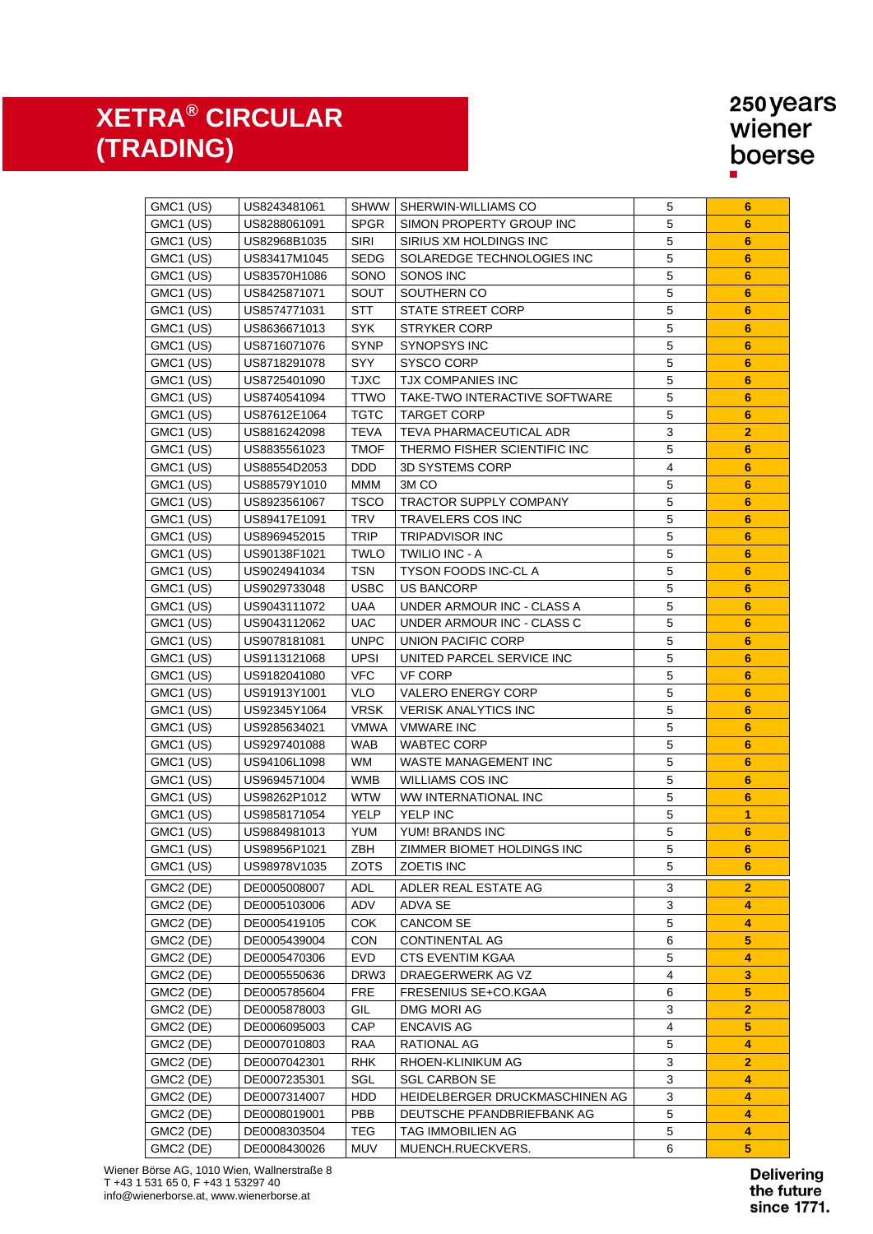| GMC1 (US)             | US8243481061 | SHWW        | SHERWIN-WILLIAMS CO            | 5                       | 6                       |
|-----------------------|--------------|-------------|--------------------------------|-------------------------|-------------------------|
| GMC1 (US)             | US8288061091 | <b>SPGR</b> | SIMON PROPERTY GROUP INC       | $\sqrt{5}$              | 6                       |
| GMC1 (US)             | US82968B1035 | SIRI        | SIRIUS XM HOLDINGS INC         | $\overline{5}$          | $6\phantom{1}$          |
| GMC1 (US)             | US83417M1045 | <b>SEDG</b> | SOLAREDGE TECHNOLOGIES INC     | $\overline{5}$          | $6\phantom{1}$          |
| GMC1 (US)             | US83570H1086 | SONO        | SONOS INC                      | 5                       | $6\phantom{1}6$         |
| GMC1 (US)             | US8425871071 | SOUT        | SOUTHERN CO                    | 5                       | $6\phantom{1}$          |
| GMC1 (US)             | US8574771031 | STT         | STATE STREET CORP              | 5                       | $6\phantom{1}6$         |
| GMC1 (US)             | US8636671013 | <b>SYK</b>  | <b>STRYKER CORP</b>            | $\sqrt{5}$              | $6\phantom{1}6$         |
| GMC1 (US)             | US8716071076 | <b>SYNP</b> | <b>SYNOPSYS INC</b>            | $\sqrt{5}$              | $6\phantom{1}6$         |
| GMC1 (US)             | US8718291078 | SYY         | <b>SYSCO CORP</b>              | $\sqrt{5}$              | $6\phantom{1}6$         |
| GMC1 (US)             | US8725401090 | <b>TJXC</b> | <b>TJX COMPANIES INC</b>       | 5                       | $6\phantom{1}$          |
| GMC1 (US)             | US8740541094 | <b>TTWO</b> | TAKE-TWO INTERACTIVE SOFTWARE  | 5                       | 6                       |
| GMC1 (US)             | US87612E1064 | TGTC        | <b>TARGET CORP</b>             | 5                       | 6                       |
| GMC1 (US)             | US8816242098 | <b>TEVA</b> | TEVA PHARMACEUTICAL ADR        | 3                       | $\overline{2}$          |
| GMC1 (US)             | US8835561023 | <b>TMOF</b> | THERMO FISHER SCIENTIFIC INC   | 5                       | $6\phantom{1}6$         |
| GMC1 (US)             | US88554D2053 | <b>DDD</b>  | 3D SYSTEMS CORP                | 4                       | 6                       |
| GMC1 (US)             | US88579Y1010 | MMM         | 3M <sub>CO</sub>               | 5                       | 6                       |
| GMC1 (US)             | US8923561067 | <b>TSCO</b> | <b>TRACTOR SUPPLY COMPANY</b>  | 5                       | 6                       |
| GMC1 (US)             | US89417E1091 | <b>TRV</b>  | TRAVELERS COS INC              | 5                       | 6                       |
| GMC1 (US)             | US8969452015 | <b>TRIP</b> | <b>TRIPADVISOR INC</b>         | 5                       | $6\phantom{1}6$         |
| GMC1 (US)             | US90138F1021 | <b>TWLO</b> | <b>TWILIO INC - A</b>          | $\mathbf 5$             | $6\phantom{1}6$         |
| GMC1 (US)             | US9024941034 | <b>TSN</b>  | <b>TYSON FOODS INC-CLA</b>     | $\overline{5}$          | $6\phantom{1}$          |
| GMC1 (US)             | US9029733048 | <b>USBC</b> | <b>US BANCORP</b>              | $\sqrt{5}$              | $6\phantom{1}$          |
| GMC1 (US)             | US9043111072 | UAA         | UNDER ARMOUR INC - CLASS A     | $\overline{5}$          | 6                       |
| GMC1 (US)             | US9043112062 | <b>UAC</b>  | UNDER ARMOUR INC - CLASS C     | $\overline{5}$          | 6                       |
| GMC1 (US)             | US9078181081 | <b>UNPC</b> | UNION PACIFIC CORP             | $\sqrt{5}$              | 6                       |
| GMC1 (US)             | US9113121068 | <b>UPSI</b> | UNITED PARCEL SERVICE INC      | 5                       | 6                       |
| GMC1 (US)             | US9182041080 | <b>VFC</b>  | <b>VF CORP</b>                 | 5                       | $6\phantom{1}6$         |
| GMC1 (US)             | US91913Y1001 | <b>VLO</b>  | <b>VALERO ENERGY CORP</b>      | $\mathbf 5$             | $6\phantom{1}6$         |
| GMC1 (US)             | US92345Y1064 | <b>VRSK</b> | <b>VERISK ANALYTICS INC</b>    | $\mathbf 5$             | $6\phantom{1}6$         |
| GMC1 (US)             | US9285634021 | VMWA        | <b>VMWARE INC</b>              | $\mathbf 5$             | $6\phantom{1}6$         |
| GMC1 (US)             | US9297401088 | <b>WAB</b>  | <b>WABTEC CORP</b>             | $\mathbf 5$             | $6\phantom{1}6$         |
| GMC1 (US)             | US94106L1098 | WM          | WASTE MANAGEMENT INC           | 5                       | 6                       |
| GMC1 (US)             | US9694571004 | <b>WMB</b>  | <b>WILLIAMS COS INC</b>        | $\mathbf 5$             | 6                       |
| GMC1 (US)             | US98262P1012 | <b>WTW</b>  | <b>WW INTERNATIONAL INC</b>    | $\mathbf 5$             | $6\phantom{1}6$         |
| GMC1 (US)             | US9858171054 | YELP        | YELP INC                       | $\mathbf 5$             | 1                       |
| GMC1 (US)             | US9884981013 | YUM         | YUM! BRANDS INC                | $\mathbf 5$             | $6\phantom{1}$          |
| GMC1 (US)             | US98956P1021 | ZBH         | ZIMMER BIOMET HOLDINGS INC     | 5                       | 6                       |
| GMC1 (US)             | US98978V1035 | <b>ZOTS</b> | ZOETIS INC                     | 5                       | 6                       |
|                       |              |             |                                |                         |                         |
| GMC2 (DE)             | DE0005008007 | <b>ADL</b>  | ADLER REAL ESTATE AG           | 3                       | 2                       |
| GMC2 (DE)             | DE0005103006 | ADV         | ADVA SE                        | 3                       | 4                       |
| GMC2 (DE)             | DE0005419105 | <b>COK</b>  | <b>CANCOM SE</b>               | 5                       | 4                       |
| GMC2 (DE)             | DE0005439004 | <b>CON</b>  | <b>CONTINENTAL AG</b>          | 6                       | $\overline{\mathbf{5}}$ |
| GMC2 (DE)             | DE0005470306 | <b>EVD</b>  | <b>CTS EVENTIM KGAA</b>        | $\mathbf 5$             | 4                       |
| GMC2 (DE)             | DE0005550636 | DRW3        | DRAEGERWERK AG VZ              | $\overline{4}$          | 3                       |
| GMC2 (DE)             | DE0005785604 | <b>FRE</b>  | FRESENIUS SE+CO.KGAA           | 6                       | $\sqrt{5}$              |
| GMC2 (DE)             | DE0005878003 | GIL         | DMG MORI AG                    | 3                       | $\overline{2}$          |
| GMC2 (DE)             | DE0006095003 | CAP         | <b>ENCAVIS AG</b>              | $\overline{\mathbf{4}}$ | 5                       |
| GMC2 (DE)             | DE0007010803 | <b>RAA</b>  | <b>RATIONAL AG</b>             | $\mathbf 5$             | 4                       |
| GMC2 (DE)             | DE0007042301 | <b>RHK</b>  | RHOEN-KLINIKUM AG              | 3                       | 2                       |
| GMC2 (DE)             | DE0007235301 | SGL         | <b>SGL CARBON SE</b>           | $\mathsf 3$             | 4                       |
| GMC <sub>2</sub> (DE) | DE0007314007 | HDD         | HEIDELBERGER DRUCKMASCHINEN AG | 3                       | 4                       |
| GMC <sub>2</sub> (DE) | DE0008019001 | PBB         | DEUTSCHE PFANDBRIEFBANK AG     | 5                       | 4                       |
| GMC2 (DE)             | DE0008303504 | <b>TEG</b>  | TAG IMMOBILIEN AG              | $\mathbf 5$             | 4                       |
| GMC2 (DE)             | DE0008430026 | <b>MUV</b>  | MUENCH.RUECKVERS.              | 6                       | 5                       |